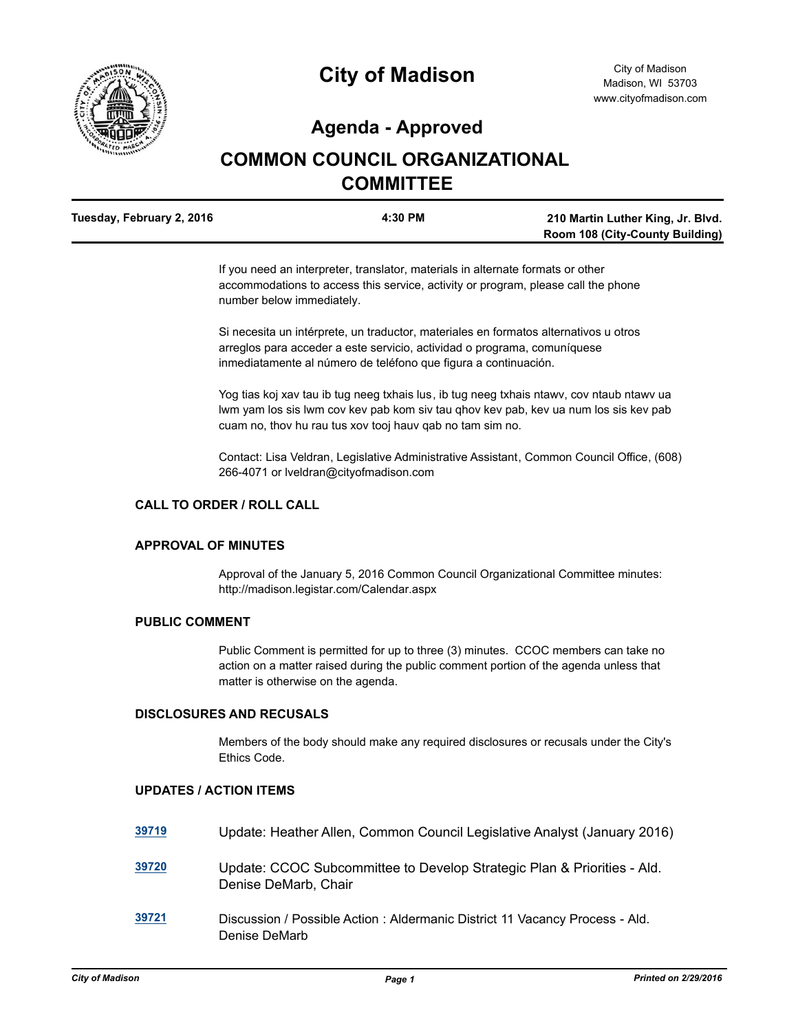

# **City of Madison**

# **Agenda - Approved**

# **COMMON COUNCIL ORGANIZATIONAL COMMITTEE**

| Tuesday, February 2, 2016 | 4:30 PM | 210 Martin Luther King, Jr. Blvd.      |
|---------------------------|---------|----------------------------------------|
|                           |         | <b>Room 108 (City-County Building)</b> |

If you need an interpreter, translator, materials in alternate formats or other accommodations to access this service, activity or program, please call the phone number below immediately.

Si necesita un intérprete, un traductor, materiales en formatos alternativos u otros arreglos para acceder a este servicio, actividad o programa, comuníquese inmediatamente al número de teléfono que figura a continuación.

Yog tias koj xav tau ib tug neeg txhais lus, ib tug neeg txhais ntawv, cov ntaub ntawv ua lwm yam los sis lwm cov kev pab kom siv tau qhov kev pab, kev ua num los sis kev pab cuam no, thov hu rau tus xov tooj hauv qab no tam sim no.

Contact: Lisa Veldran, Legislative Administrative Assistant, Common Council Office, (608) 266-4071 or lveldran@cityofmadison.com

#### **CALL TO ORDER / ROLL CALL**

## **APPROVAL OF MINUTES**

Approval of the January 5, 2016 Common Council Organizational Committee minutes: http://madison.legistar.com/Calendar.aspx

#### **PUBLIC COMMENT**

Public Comment is permitted for up to three (3) minutes. CCOC members can take no action on a matter raised during the public comment portion of the agenda unless that matter is otherwise on the agenda.

#### **DISCLOSURES AND RECUSALS**

Members of the body should make any required disclosures or recusals under the City's Ethics Code.

### **UPDATES / ACTION ITEMS**

| 39719 | Update: Heather Allen, Common Council Legislative Analyst (January 2016)                        |
|-------|-------------------------------------------------------------------------------------------------|
| 39720 | Update: CCOC Subcommittee to Develop Strategic Plan & Priorities - Ald.<br>Denise DeMarb, Chair |
| 39721 | Discussion / Possible Action: Aldermanic District 11 Vacancy Process - Ald.<br>Denise DeMarb    |